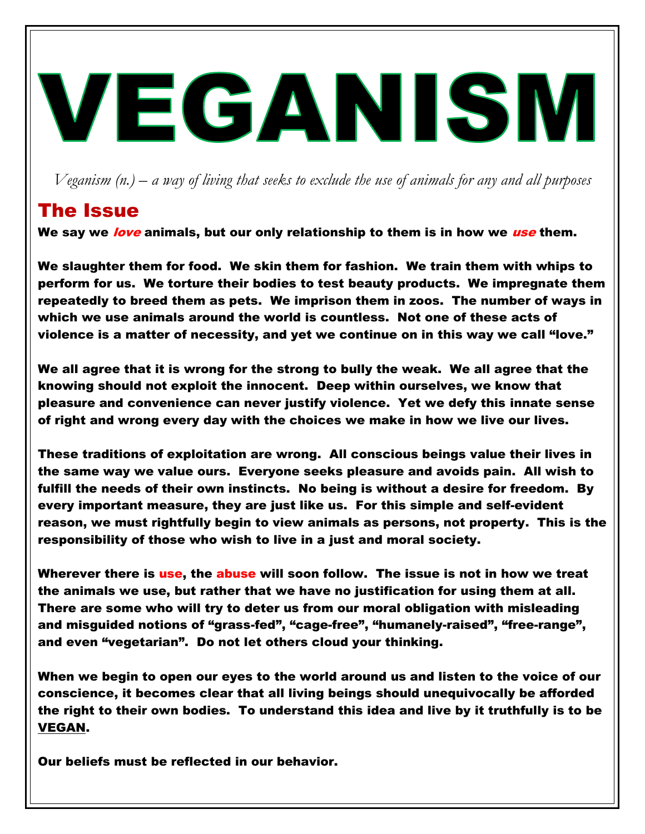## VEGANISM

*Veganism (n.) – a way of living that seeks to exclude the use of animals for any and all purposes*

## The Issue

We say we love animals, but our only relationship to them is in how we use them.

We slaughter them for food. We skin them for fashion. We train them with whips to perform for us. We torture their bodies to test beauty products. We impregnate them repeatedly to breed them as pets. We imprison them in zoos. The number of ways in which we use animals around the world is countless. Not one of these acts of violence is a matter of necessity, and yet we continue on in this way we call "love."

We all agree that it is wrong for the strong to bully the weak. We all agree that the knowing should not exploit the innocent. Deep within ourselves, we know that pleasure and convenience can never justify violence. Yet we defy this innate sense of right and wrong every day with the choices we make in how we live our lives.

These traditions of exploitation are wrong. All conscious beings value their lives in the same way we value ours. Everyone seeks pleasure and avoids pain. All wish to fulfill the needs of their own instincts. No being is without a desire for freedom. By every important measure, they are just like us. For this simple and self-evident reason, we must rightfully begin to view animals as persons, not property. This is the responsibility of those who wish to live in a just and moral society.

Wherever there is use, the abuse will soon follow. The issue is not in how we treat the animals we use, but rather that we have no justification for using them at all. There are some who will try to deter us from our moral obligation with misleading and misguided notions of "grass-fed", "cage-free", "humanely-raised", "free-range", and even "vegetarian". Do not let others cloud your thinking.

When we begin to open our eyes to the world around us and listen to the voice of our conscience, it becomes clear that all living beings should unequivocally be afforded the right to their own bodies. To understand this idea and live by it truthfully is to be VEGAN.

Our beliefs must be reflected in our behavior.